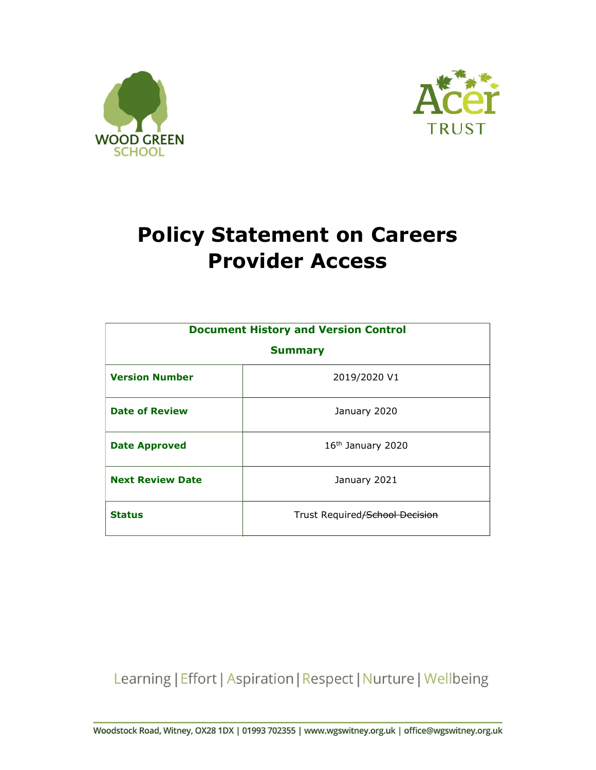



# Policy Statement on Careers Provider Access

| <b>Document History and Version Control</b><br><b>Summary</b> |                                |  |  |  |
|---------------------------------------------------------------|--------------------------------|--|--|--|
|                                                               |                                |  |  |  |
| <b>Date of Review</b>                                         | January 2020                   |  |  |  |
| <b>Date Approved</b>                                          | 16 <sup>th</sup> January 2020  |  |  |  |
| <b>Next Review Date</b>                                       | January 2021                   |  |  |  |
| <b>Status</b>                                                 | Trust Required/School Decision |  |  |  |

Learning | Effort | Aspiration | Respect | Nurture | Wellbeing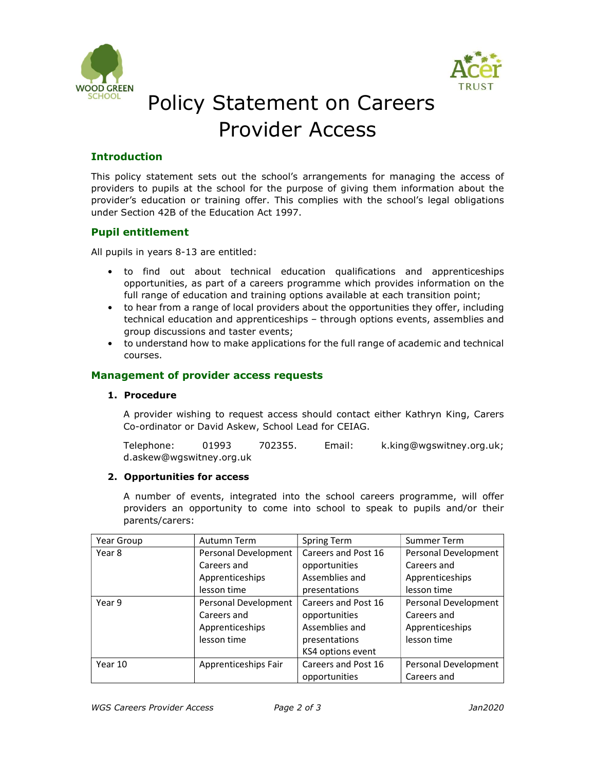



## Policy Statement on Careers Provider Access

## Introduction

This policy statement sets out the school's arrangements for managing the access of providers to pupils at the school for the purpose of giving them information about the provider's education or training offer. This complies with the school's legal obligations under Section 42B of the Education Act 1997.

## Pupil entitlement

- All pupils in years 8-13 are entitled:<br>• to find out about technical education qualifications and apprenticeships opportunities, as part of a careers programme which provides information on the full range of education and training options available at each transition point;<br>• to hear from a range of local providers about the opportunities they offer, including
	- technical education and apprenticeships through options events, assemblies and group discussions and taster events; • to understand how to make applications for the full range of academic and technical
	- courses.

#### Management of provider access requests

#### 1. Procedure

A provider wishing to request access should contact either Kathryn King, Carers Co-ordinator or David Askew, School Lead for CEIAG.

Telephone: 01993 702355. Email: k.king@wgswitney.org.uk; d.askew@wgswitney.org.uk

#### 2. Opportunities for access

A number of events, integrated into the school careers programme, will offer providers an opportunity to come into school to speak to pupils and/or their parents/carers:

| Year Group | Autumn Term          | Spring Term         | Summer Term          |
|------------|----------------------|---------------------|----------------------|
| Year 8     | Personal Development | Careers and Post 16 | Personal Development |
|            | Careers and          | opportunities       | Careers and          |
|            | Apprenticeships      | Assemblies and      | Apprenticeships      |
|            | lesson time          | presentations       | lesson time          |
| Year 9     | Personal Development | Careers and Post 16 | Personal Development |
|            | Careers and          | opportunities       | Careers and          |
|            | Apprenticeships      | Assemblies and      | Apprenticeships      |
|            | lesson time          | presentations       | lesson time          |
|            |                      | KS4 options event   |                      |
| Year 10    | Apprenticeships Fair | Careers and Post 16 | Personal Development |
|            |                      | opportunities       | Careers and          |